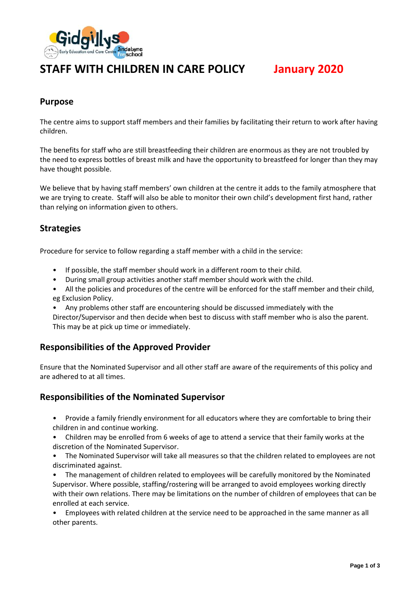

# **STAFF WITH CHILDREN IN CARE POLICY January 2020**

# **Purpose**

The centre aims to support staff members and their families by facilitating their return to work after having children.

The benefits for staff who are still breastfeeding their children are enormous as they are not troubled by the need to express bottles of breast milk and have the opportunity to breastfeed for longer than they may have thought possible.

We believe that by having staff members' own children at the centre it adds to the family atmosphere that we are trying to create. Staff will also be able to monitor their own child's development first hand, rather than relying on information given to others.

# **Strategies**

Procedure for service to follow regarding a staff member with a child in the service:

- If possible, the staff member should work in a different room to their child.
- During small group activities another staff member should work with the child.
- All the policies and procedures of the centre will be enforced for the staff member and their child, eg Exclusion Policy.
- Any problems other staff are encountering should be discussed immediately with the

Director/Supervisor and then decide when best to discuss with staff member who is also the parent. This may be at pick up time or immediately.

## **Responsibilities of the Approved Provider**

Ensure that the Nominated Supervisor and all other staff are aware of the requirements of this policy and are adhered to at all times.

## **Responsibilities of the Nominated Supervisor**

- Provide a family friendly environment for all educators where they are comfortable to bring their children in and continue working.
- Children may be enrolled from 6 weeks of age to attend a service that their family works at the discretion of the Nominated Supervisor.
- The Nominated Supervisor will take all measures so that the children related to employees are not discriminated against.
- The management of children related to employees will be carefully monitored by the Nominated Supervisor. Where possible, staffing/rostering will be arranged to avoid employees working directly with their own relations. There may be limitations on the number of children of employees that can be enrolled at each service.

• Employees with related children at the service need to be approached in the same manner as all other parents.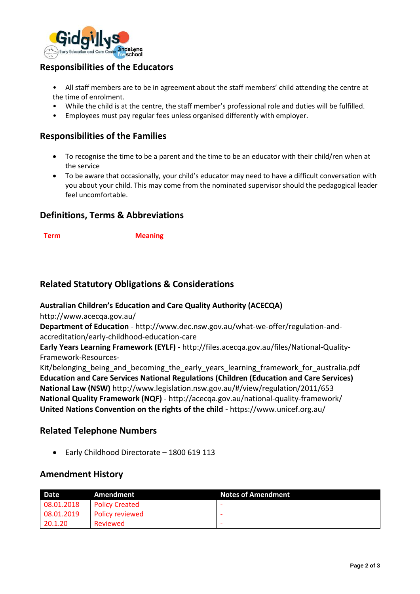

# **Responsibilities of the Educators**

• All staff members are to be in agreement about the staff members' child attending the centre at the time of enrolment.

- While the child is at the centre, the staff member's professional role and duties will be fulfilled.
- Employees must pay regular fees unless organised differently with employer.

# **Responsibilities of the Families**

- To recognise the time to be a parent and the time to be an educator with their child/ren when at the service
- To be aware that occasionally, your child's educator may need to have a difficult conversation with you about your child. This may come from the nominated supervisor should the pedagogical leader feel uncomfortable.

## **Definitions, Terms & Abbreviations**

**Term Meaning**

# **Related Statutory Obligations & Considerations**

#### **Australian Children's Education and Care Quality Authority (ACECQA)**

http://www.acecqa.gov.au/

**Department of Education** - http://www.dec.nsw.gov.au/what-we-offer/regulation-andaccreditation/early-childhood-education-care

**Early Years Learning Framework (EYLF)** - http://files.acecqa.gov.au/files/National-Quality-Framework-Resources-

Kit/belonging being and becoming the early years learning framework for australia.pdf **Education and Care Services National Regulations (Children (Education and Care Services) National Law (NSW)** http://www.legislation.nsw.gov.au/#/view/regulation/2011/653 **National Quality Framework (NQF)** - http://acecqa.gov.au/national-quality-framework/ **United Nations Convention on the rights of the child -** https://www.unicef.org.au/

## **Related Telephone Numbers**

• Early Childhood Directorate – 1800 619 113

## **Amendment History**

| Date <sup>1</sup> | Amendment             | <b>Notes of Amendment</b> |
|-------------------|-----------------------|---------------------------|
| 08.01.2018        | <b>Policy Created</b> |                           |
| 08.01.2019        | Policy reviewed       |                           |
| 20.1.20           | Reviewed              |                           |